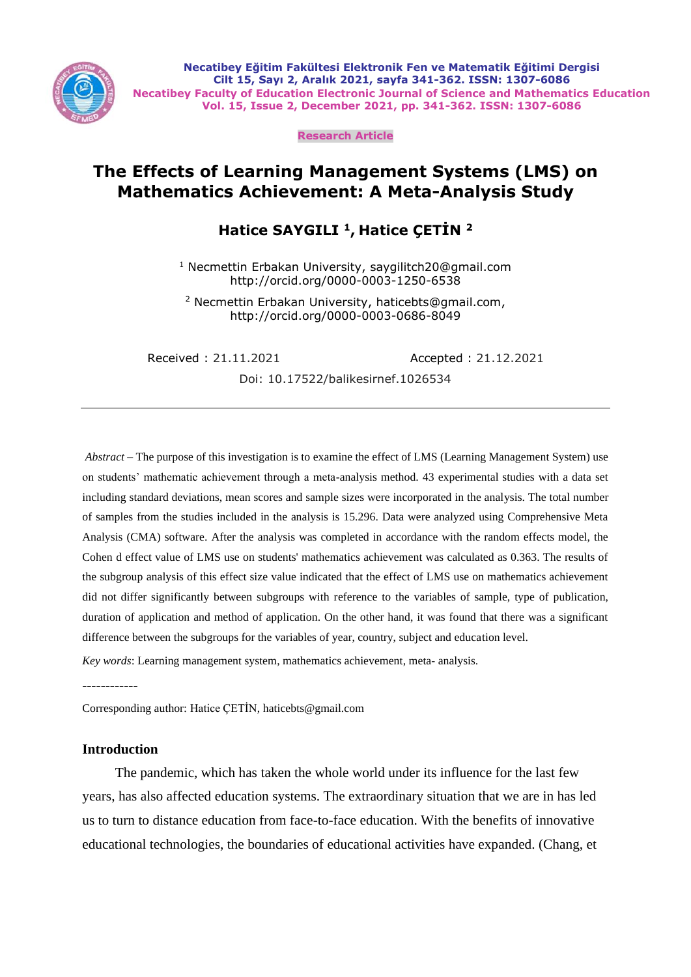

**Necatibey Eğitim Fakültesi Elektronik Fen ve Matematik Eğitimi Dergisi Cilt 15, Sayı 2, Aralık 2021, sayfa 341-362. ISSN: 1307-6086 Necatibey Faculty of Education Electronic Journal of Science and Mathematics Education Vol. 15, Issue 2, December 2021, pp. 341-362. ISSN: 1307-6086**

**Research Article**

# **The Effects of Learning Management Systems (LMS) on Mathematics Achievement: A Meta-Analysis Study**

# **Hatice SAYGILI <sup>1</sup>, Hatice ÇETİN <sup>2</sup>**

<sup>1</sup> Necmettin Erbakan University, saygilitch20@gmail.com http://orcid.org/0000-0003-1250-6538

<sup>2</sup> Necmettin Erbakan University, haticebts@gmail.com, http://orcid.org/0000-0003-0686-8049

Received : 21.11.2021 Accepted : 21.12.2021

Doi: 10.17522/balikesirnef.1026534

*Abstract* – The purpose of this investigation is to examine the effect of LMS (Learning Management System) use on students' mathematic achievement through a meta-analysis method. 43 experimental studies with a data set including standard deviations, mean scores and sample sizes were incorporated in the analysis. The total number of samples from the studies included in the analysis is 15.296. Data were analyzed using Comprehensive Meta Analysis (CMA) software. After the analysis was completed in accordance with the random effects model, the Cohen d effect value of LMS use on students' mathematics achievement was calculated as 0.363. The results of the subgroup analysis of this effect size value indicated that the effect of LMS use on mathematics achievement did not differ significantly between subgroups with reference to the variables of sample, type of publication, duration of application and method of application. On the other hand, it was found that there was a significant difference between the subgroups for the variables of year, country, subject and education level.

*Key words*: Learning management system, mathematics achievement, meta- analysis.

------------

Corresponding author: Hatice ÇETİN, haticebts@gmail.com

## **Introduction**

The pandemic, which has taken the whole world under its influence for the last few years, has also affected education systems. The extraordinary situation that we are in has led us to turn to distance education from face-to-face education. With the benefits of innovative educational technologies, the boundaries of educational activities have expanded. (Chang, et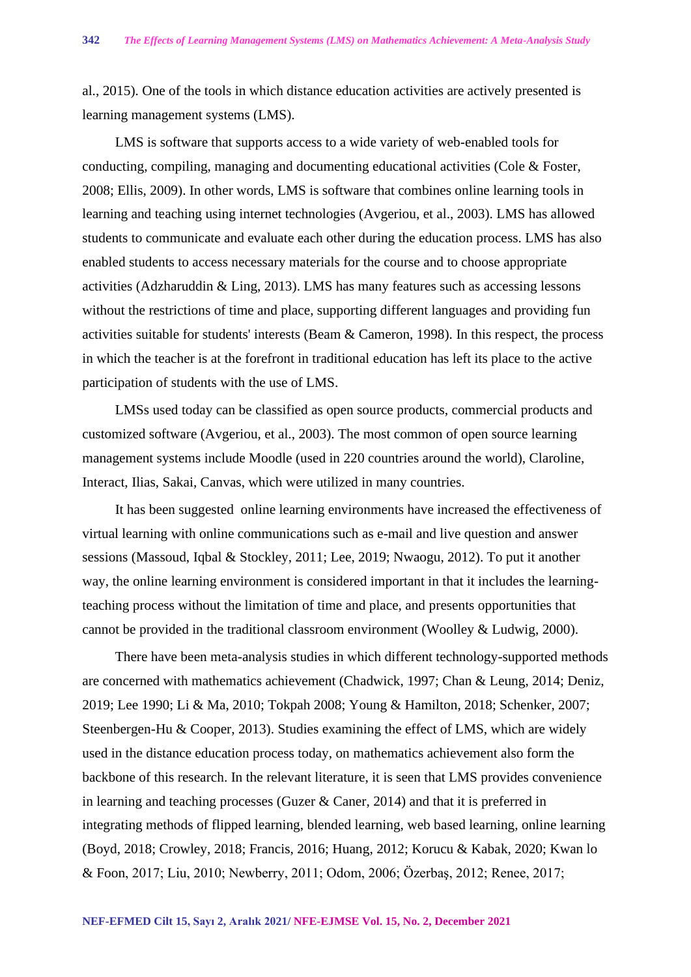al., 2015). One of the tools in which distance education activities are actively presented is learning management systems (LMS).

LMS is software that supports access to a wide variety of web-enabled tools for conducting, compiling, managing and documenting educational activities (Cole & Foster, 2008; Ellis, 2009). In other words, LMS is software that combines online learning tools in learning and teaching using internet technologies (Avgeriou, et al., 2003). LMS has allowed students to communicate and evaluate each other during the education process. LMS has also enabled students to access necessary materials for the course and to choose appropriate activities (Adzharuddin & Ling, 2013). LMS has many features such as accessing lessons without the restrictions of time and place, supporting different languages and providing fun activities suitable for students' interests (Beam & Cameron, 1998). In this respect, the process in which the teacher is at the forefront in traditional education has left its place to the active participation of students with the use of LMS.

LMSs used today can be classified as open source products, commercial products and customized software (Avgeriou, et al., 2003). The most common of open source learning management systems include Moodle (used in 220 countries around the world), Claroline, Interact, Ilias, Sakai, Canvas, which were utilized in many countries.

It has been suggested online learning environments have increased the effectiveness of virtual learning with online communications such as e-mail and live question and answer sessions (Massoud, Iqbal & Stockley, 2011; Lee, 2019; Nwaogu, 2012). To put it another way, the online learning environment is considered important in that it includes the learningteaching process without the limitation of time and place, and presents opportunities that cannot be provided in the traditional classroom environment (Woolley & Ludwig, 2000).

There have been meta-analysis studies in which different technology-supported methods are concerned with mathematics achievement (Chadwick, 1997; Chan & Leung, 2014; Deniz, 2019; Lee 1990; Li & Ma, 2010; Tokpah 2008; Young & Hamilton, 2018; Schenker, 2007; Steenbergen-Hu & Cooper, 2013). Studies examining the effect of LMS, which are widely used in the distance education process today, on mathematics achievement also form the backbone of this research. In the relevant literature, it is seen that LMS provides convenience in learning and teaching processes (Guzer & Caner, 2014) and that it is preferred in integrating methods of flipped learning, blended learning, web based learning, online learning (Boyd, 2018; Crowley, 2018; Francis, 2016; Huang, 2012; Korucu & Kabak, 2020; Kwan lo & Foon, 2017; Liu, 2010; Newberry, 2011; Odom, 2006; Özerbaş, 2012; Renee, 2017;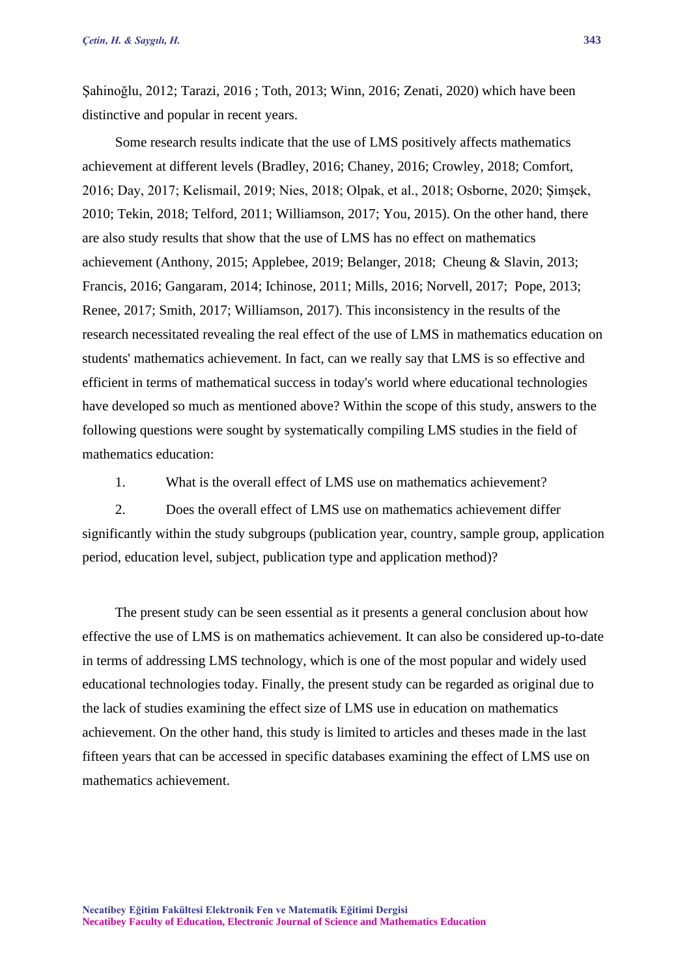Şahinoğlu, 2012; Tarazi, 2016 ; Toth, 2013; Winn, 2016; Zenati, 2020) which have been distinctive and popular in recent years.

Some research results indicate that the use of LMS positively affects mathematics achievement at different levels (Bradley, 2016; Chaney, 2016; Crowley, 2018; Comfort, 2016; Day, 2017; Kelismail, 2019; Nies, 2018; Olpak, et al., 2018; Osborne, 2020; Şimşek, 2010; Tekin, 2018; Telford, 2011; Williamson, 2017; You, 2015). On the other hand, there are also study results that show that the use of LMS has no effect on mathematics achievement (Anthony, 2015; Applebee, 2019; Belanger, 2018; Cheung & Slavin, 2013; Francis, 2016; Gangaram, 2014; Ichinose, 2011; Mills, 2016; Norvell, 2017; Pope, 2013; Renee, 2017; Smith, 2017; Williamson, 2017). This inconsistency in the results of the research necessitated revealing the real effect of the use of LMS in mathematics education on students' mathematics achievement. In fact, can we really say that LMS is so effective and efficient in terms of mathematical success in today's world where educational technologies have developed so much as mentioned above? Within the scope of this study, answers to the following questions were sought by systematically compiling LMS studies in the field of mathematics education:

1. What is the overall effect of LMS use on mathematics achievement?

2. Does the overall effect of LMS use on mathematics achievement differ significantly within the study subgroups (publication year, country, sample group, application period, education level, subject, publication type and application method)?

The present study can be seen essential as it presents a general conclusion about how effective the use of LMS is on mathematics achievement. It can also be considered up-to-date in terms of addressing LMS technology, which is one of the most popular and widely used educational technologies today. Finally, the present study can be regarded as original due to the lack of studies examining the effect size of LMS use in education on mathematics achievement. On the other hand, this study is limited to articles and theses made in the last fifteen years that can be accessed in specific databases examining the effect of LMS use on mathematics achievement.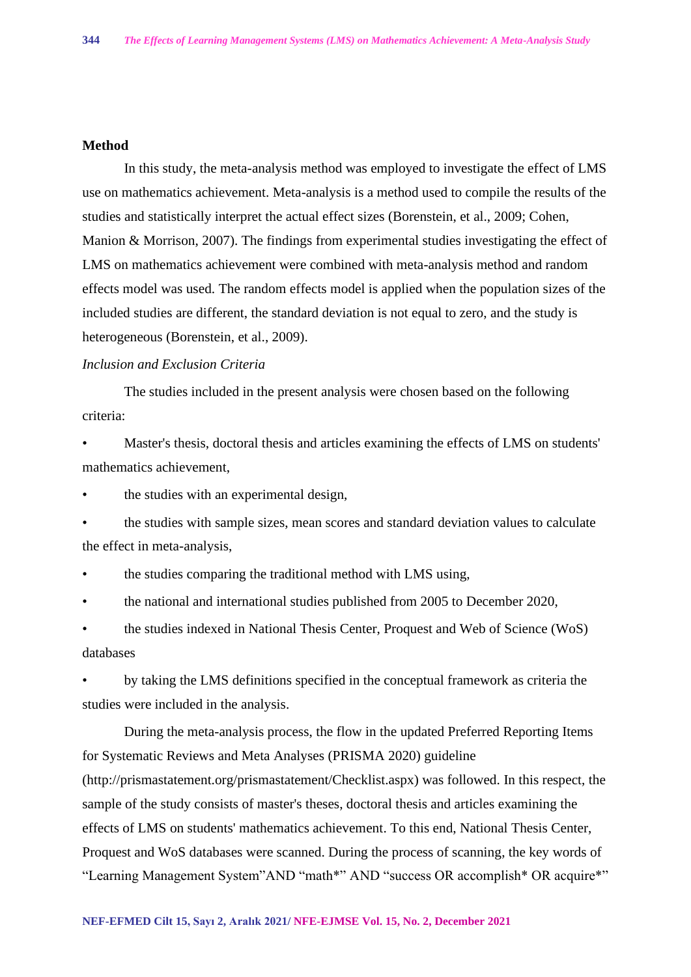## **Method**

In this study, the meta-analysis method was employed to investigate the effect of LMS use on mathematics achievement. Meta-analysis is a method used to compile the results of the studies and statistically interpret the actual effect sizes (Borenstein, et al., 2009; Cohen, Manion & Morrison, 2007). The findings from experimental studies investigating the effect of LMS on mathematics achievement were combined with meta-analysis method and random effects model was used. The random effects model is applied when the population sizes of the included studies are different, the standard deviation is not equal to zero, and the study is heterogeneous (Borenstein, et al., 2009).

## *Inclusion and Exclusion Criteria*

The studies included in the present analysis were chosen based on the following criteria:

Master's thesis, doctoral thesis and articles examining the effects of LMS on students' mathematics achievement,

the studies with an experimental design,

• the studies with sample sizes, mean scores and standard deviation values to calculate the effect in meta-analysis,

• the studies comparing the traditional method with LMS using,

• the national and international studies published from 2005 to December 2020,

• the studies indexed in National Thesis Center, Proquest and Web of Science (WoS) databases

• by taking the LMS definitions specified in the conceptual framework as criteria the studies were included in the analysis.

During the meta-analysis process, the flow in the updated Preferred Reporting Items for Systematic Reviews and Meta Analyses (PRISMA 2020) guideline (http://prismastatement.org/prismastatement/Checklist.aspx) was followed. In this respect, the sample of the study consists of master's theses, doctoral thesis and articles examining the effects of LMS on students' mathematics achievement. To this end, National Thesis Center, Proquest and WoS databases were scanned. During the process of scanning, the key words of "Learning Management System"AND "math\*" AND "success OR accomplish\* OR acquire\*"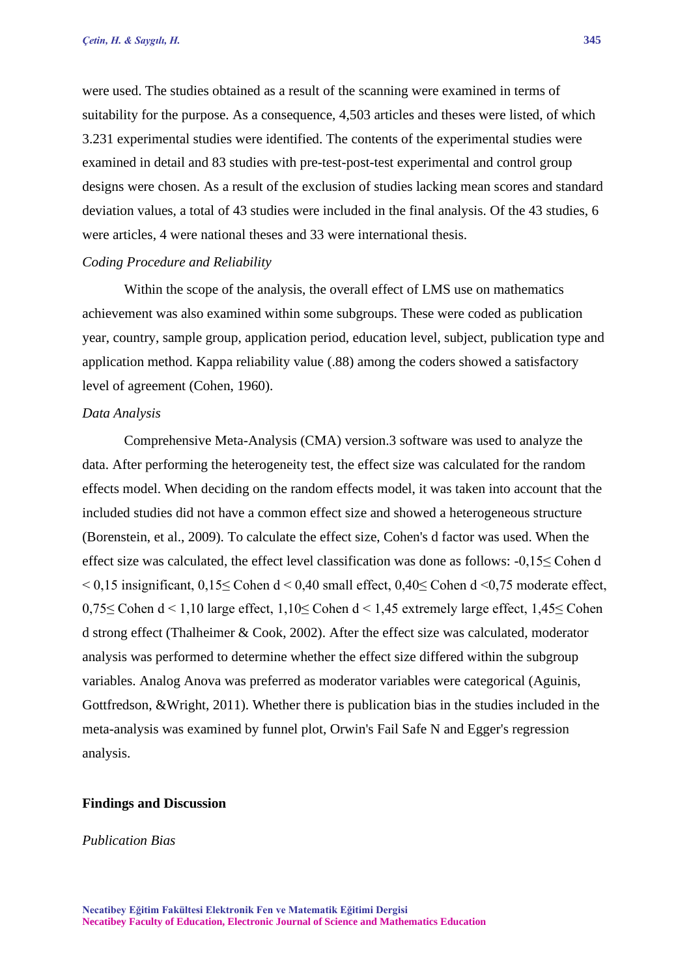were used. The studies obtained as a result of the scanning were examined in terms of suitability for the purpose. As a consequence, 4,503 articles and theses were listed, of which 3.231 experimental studies were identified. The contents of the experimental studies were examined in detail and 83 studies with pre-test-post-test experimental and control group designs were chosen. As a result of the exclusion of studies lacking mean scores and standard deviation values, a total of 43 studies were included in the final analysis. Of the 43 studies, 6 were articles, 4 were national theses and 33 were international thesis.

#### *Coding Procedure and Reliability*

Within the scope of the analysis, the overall effect of LMS use on mathematics achievement was also examined within some subgroups. These were coded as publication year, country, sample group, application period, education level, subject, publication type and application method. Kappa reliability value (.88) among the coders showed a satisfactory level of agreement (Cohen, 1960).

#### *Data Analysis*

Comprehensive Meta-Analysis (CMA) version.3 software was used to analyze the data. After performing the heterogeneity test, the effect size was calculated for the random effects model. When deciding on the random effects model, it was taken into account that the included studies did not have a common effect size and showed a heterogeneous structure (Borenstein, et al., 2009). To calculate the effect size, Cohen's d factor was used. When the effect size was calculated, the effect level classification was done as follows: -0,15≤ Cohen d  $\leq$  0,15 insignificant, 0,15 $\leq$  Cohen d  $\leq$  0,40 small effect, 0,40 $\leq$  Cohen d  $\leq$  0,75 moderate effect, 0,75≤ Cohen d < 1,10 large effect, 1,10≤ Cohen d < 1,45 extremely large effect, 1,45≤ Cohen d strong effect (Thalheimer & Cook, 2002). After the effect size was calculated, moderator analysis was performed to determine whether the effect size differed within the subgroup variables. Analog Anova was preferred as moderator variables were categorical (Aguinis, Gottfredson, &Wright, 2011). Whether there is publication bias in the studies included in the meta-analysis was examined by funnel plot, Orwin's Fail Safe N and Egger's regression analysis.

#### **Findings and Discussion**

*Publication Bias*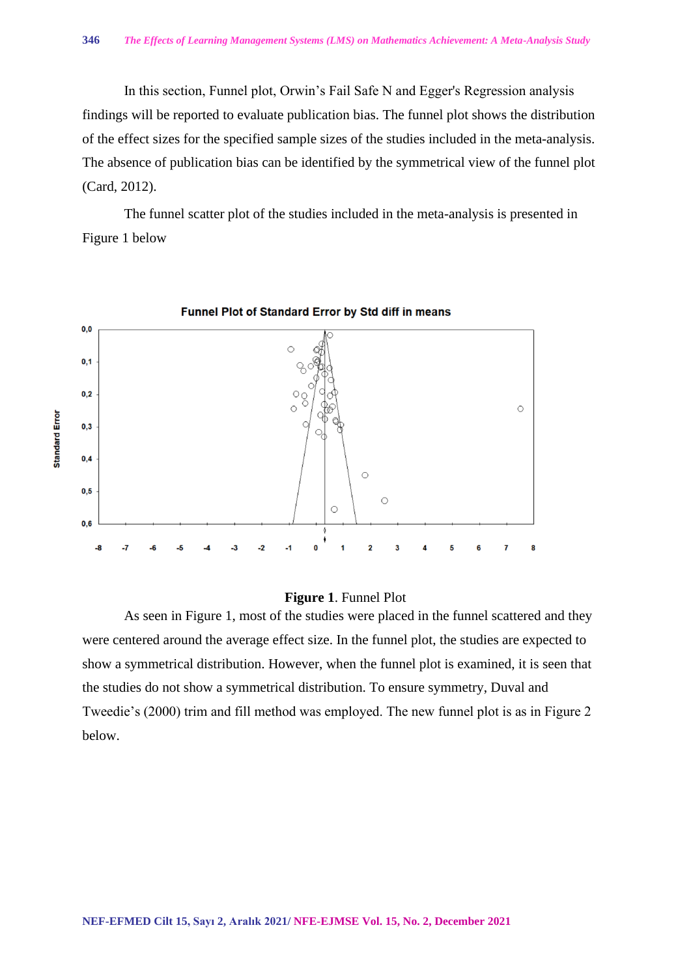In this section, Funnel plot, Orwin's Fail Safe N and Egger's Regression analysis findings will be reported to evaluate publication bias. The funnel plot shows the distribution of the effect sizes for the specified sample sizes of the studies included in the meta-analysis. The absence of publication bias can be identified by the symmetrical view of the funnel plot (Card, 2012).

The funnel scatter plot of the studies included in the meta-analysis is presented in Figure 1 below



## **Figure 1**. Funnel Plot

As seen in Figure 1, most of the studies were placed in the funnel scattered and they were centered around the average effect size. In the funnel plot, the studies are expected to show a symmetrical distribution. However, when the funnel plot is examined, it is seen that the studies do not show a symmetrical distribution. To ensure symmetry, Duval and Tweedie's (2000) trim and fill method was employed. The new funnel plot is as in Figure 2 below.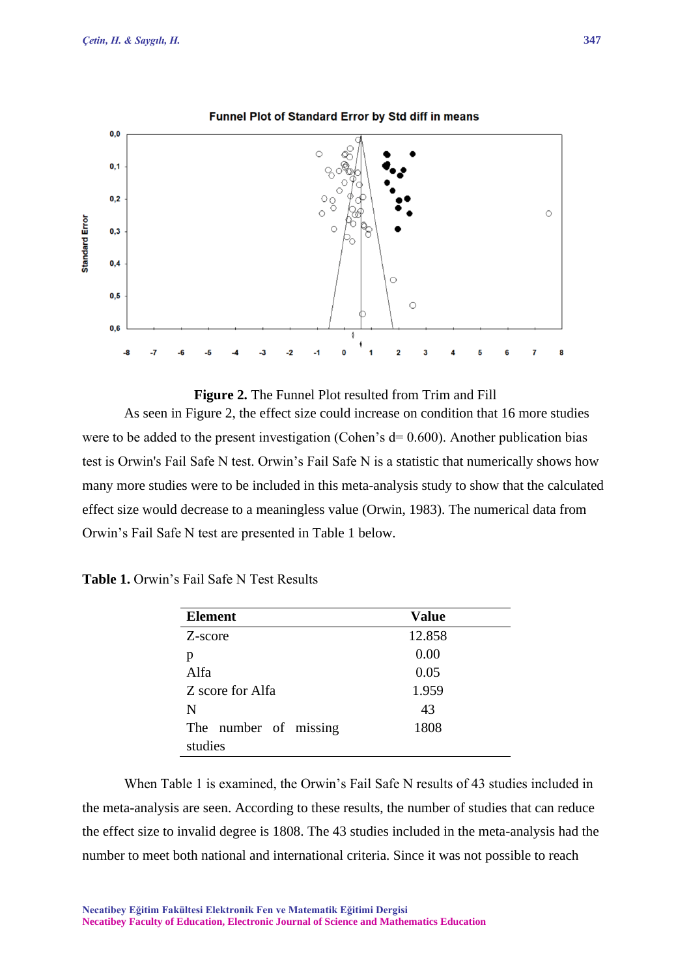

## Funnel Plot of Standard Error by Std diff in means



As seen in Figure 2, the effect size could increase on condition that 16 more studies were to be added to the present investigation (Cohen's  $d= 0.600$ ). Another publication bias test is Orwin's Fail Safe N test. Orwin's Fail Safe N is a statistic that numerically shows how many more studies were to be included in this meta-analysis study to show that the calculated effect size would decrease to a meaningless value (Orwin, 1983). The numerical data from Orwin's Fail Safe N test are presented in Table 1 below.

| <b>Element</b>        | <b>Value</b> |
|-----------------------|--------------|
| Z-score               | 12.858       |
| p                     | 0.00         |
| Alfa                  | 0.05         |
| Z score for Alfa      | 1.959        |
| N                     | 43           |
| The number of missing | 1808         |
| studies               |              |

| <b>Table 1.</b> Orwin's Fail Safe N Test Results |  |
|--------------------------------------------------|--|
|--------------------------------------------------|--|

When Table 1 is examined, the Orwin's Fail Safe N results of 43 studies included in the meta-analysis are seen. According to these results, the number of studies that can reduce the effect size to invalid degree is 1808. The 43 studies included in the meta-analysis had the number to meet both national and international criteria. Since it was not possible to reach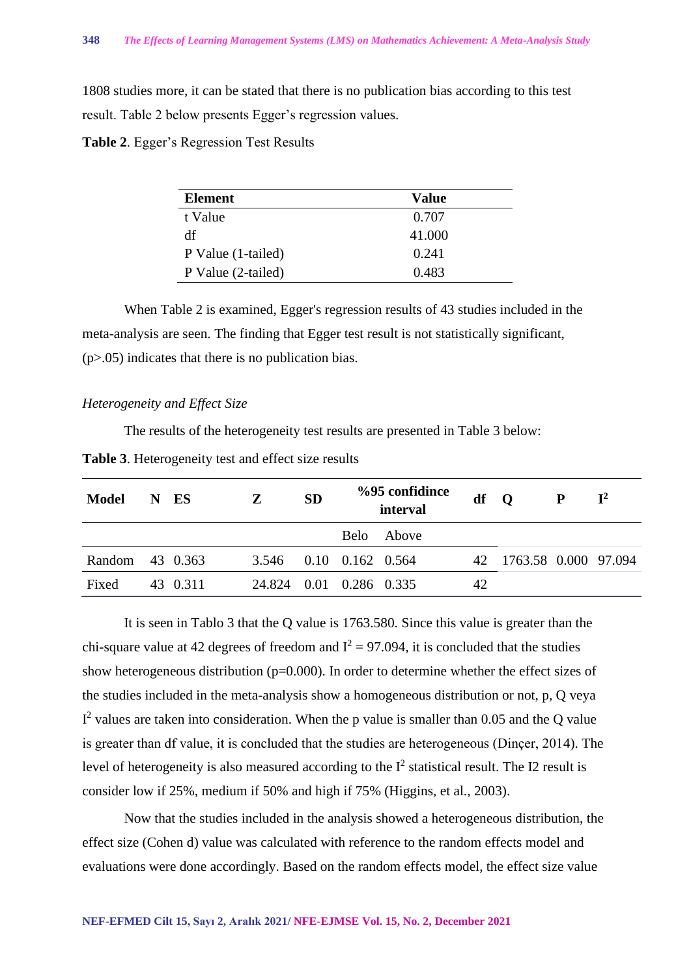1808 studies more, it can be stated that there is no publication bias according to this test result. Table 2 below presents Egger's regression values.

**Table 2**. Egger's Regression Test Results

| <b>Element</b>     | <b>Value</b> |
|--------------------|--------------|
| t Value            | 0.707        |
| df                 | 41.000       |
| P Value (1-tailed) | 0.241        |
| P Value (2-tailed) | 0.483        |

When Table 2 is examined, Egger's regression results of 43 studies included in the meta-analysis are seen. The finding that Egger test result is not statistically significant, (p>.05) indicates that there is no publication bias.

## *Heterogeneity and Effect Size*

The results of the heterogeneity test results are presented in Table 3 below:

| Model           | N ES     | Z                       | <b>SD</b> | %95 confidince<br>interval |            | $df$ O |                         | $\mathbf{P}$ | $\mathbf{I}^2$ |
|-----------------|----------|-------------------------|-----------|----------------------------|------------|--------|-------------------------|--------------|----------------|
|                 |          |                         |           |                            | Belo Above |        |                         |              |                |
| Random 43 0.363 |          | 3.546 0.10 0.162 0.564  |           |                            |            |        | 42 1763.58 0.000 97.094 |              |                |
| Fixed           | 43 0.311 | 24.824 0.01 0.286 0.335 |           |                            |            | 42     |                         |              |                |
|                 |          |                         |           |                            |            |        |                         |              |                |

It is seen in Tablo 3 that the Q value is 1763.580. Since this value is greater than the chi-square value at 42 degrees of freedom and  $I^2 = 97.094$ , it is concluded that the studies show heterogeneous distribution ( $p=0.000$ ). In order to determine whether the effect sizes of the studies included in the meta-analysis show a homogeneous distribution or not, p, Q veya  $I<sup>2</sup>$  values are taken into consideration. When the p value is smaller than 0.05 and the Q value is greater than df value, it is concluded that the studies are heterogeneous (Dinçer, 2014). The level of heterogeneity is also measured according to the  $I^2$  statistical result. The I2 result is consider low if 25%, medium if 50% and high if 75% (Higgins, et al., 2003).

Now that the studies included in the analysis showed a heterogeneous distribution, the effect size (Cohen d) value was calculated with reference to the random effects model and evaluations were done accordingly. Based on the random effects model, the effect size value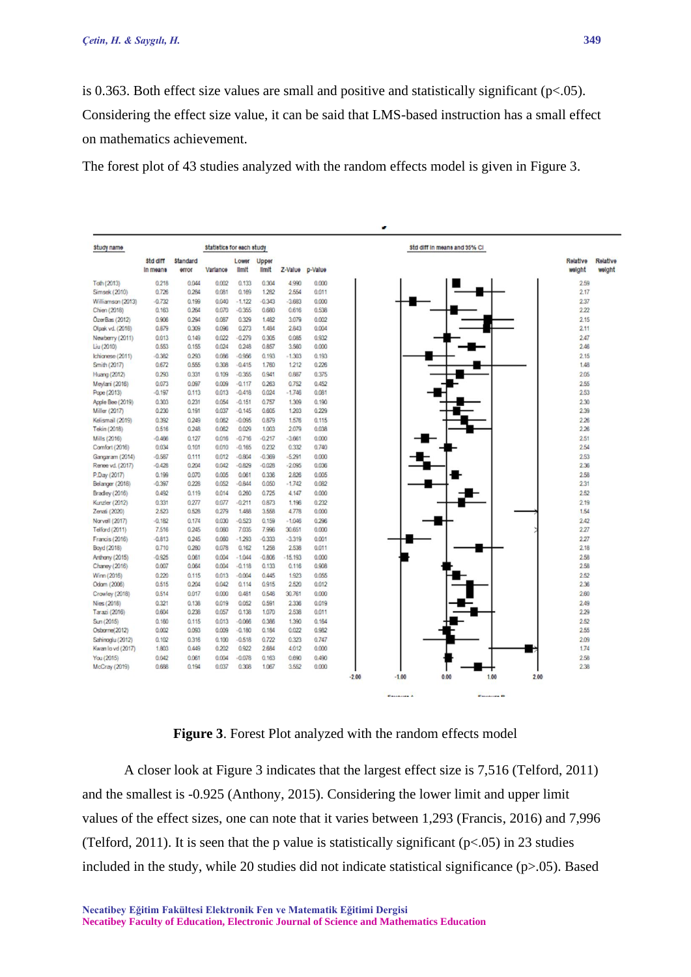is 0.363. Both effect size values are small and positive and statistically significant ( $p<0.05$ ). Considering the effect size value, it can be said that LMS-based instruction has a small effect on mathematics achievement.

The forest plot of 43 studies analyzed with the random effects model is given in Figure 3.



**Figure 3**. Forest Plot analyzed with the random effects model

A closer look at Figure 3 indicates that the largest effect size is 7,516 (Telford, 2011) and the smallest is -0.925 (Anthony, 2015). Considering the lower limit and upper limit values of the effect sizes, one can note that it varies between 1,293 (Francis, 2016) and 7,996 (Telford, 2011). It is seen that the p value is statistically significant  $(p<0.05)$  in 23 studies included in the study, while 20 studies did not indicate statistical significance (p>.05). Based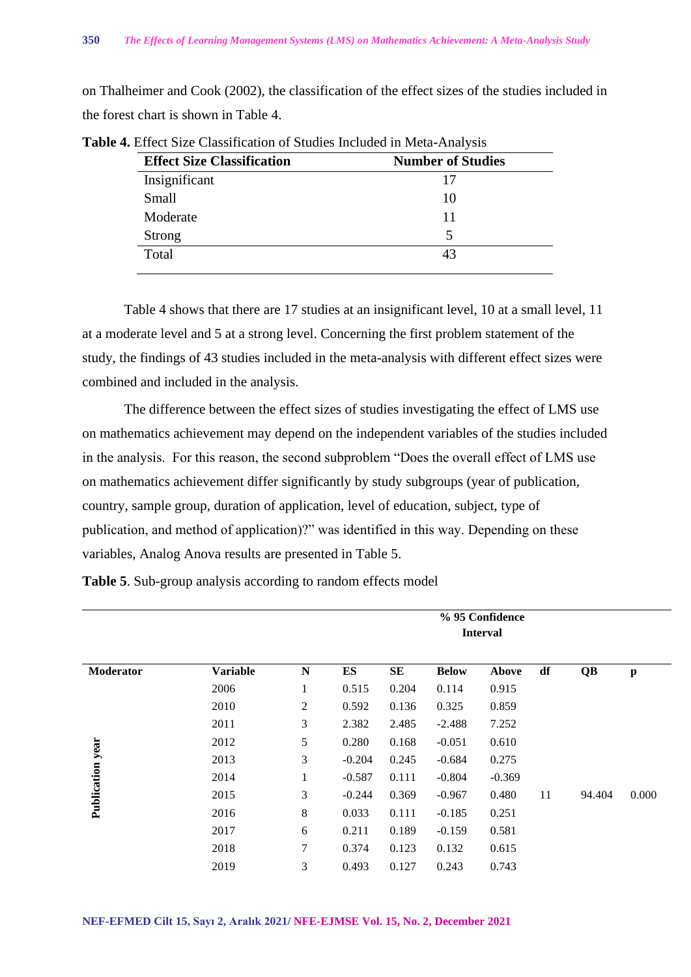on Thalheimer and Cook (2002), the classification of the effect sizes of the studies included in the forest chart is shown in Table 4.

| <b>Effect Size Classification</b> | <b>Number of Studies</b> |
|-----------------------------------|--------------------------|
| Insignificant                     | 17                       |
| Small                             | 10                       |
| Moderate                          | 11                       |
| <b>Strong</b>                     |                          |
| Total                             | 43                       |
|                                   |                          |

**Table 4.** Effect Size Classification of Studies Included in Meta-Analysis

Table 4 shows that there are 17 studies at an insignificant level, 10 at a small level, 11 at a moderate level and 5 at a strong level. Concerning the first problem statement of the study, the findings of 43 studies included in the meta-analysis with different effect sizes were combined and included in the analysis.

The difference between the effect sizes of studies investigating the effect of LMS use on mathematics achievement may depend on the independent variables of the studies included in the analysis. For this reason, the second subproblem "Does the overall effect of LMS use on mathematics achievement differ significantly by study subgroups (year of publication, country, sample group, duration of application, level of education, subject, type of publication, and method of application)?" was identified in this way. Depending on these variables, Analog Anova results are presented in Table 5.

**Table 5**. Sub-group analysis according to random effects model

|                         | % 95 Confidence<br><b>Interval</b> |              |           |       |              |          |    |        |       |  |
|-------------------------|------------------------------------|--------------|-----------|-------|--------------|----------|----|--------|-------|--|
| <b>Moderator</b>        | <b>Variable</b>                    | ${\bf N}$    | <b>ES</b> | SE    | <b>Below</b> | Above    | df | QB     | p     |  |
|                         | 2006                               | 1            | 0.515     | 0.204 | 0.114        | 0.915    |    |        |       |  |
|                         | 2010                               | $\mathbf{2}$ | 0.592     | 0.136 | 0.325        | 0.859    |    |        |       |  |
|                         | 2011                               | 3            | 2.382     | 2.485 | $-2.488$     | 7.252    |    |        |       |  |
|                         | 2012                               | 5            | 0.280     | 0.168 | $-0.051$     | 0.610    |    |        |       |  |
| <b>Publication year</b> | 2013                               | 3            | $-0.204$  | 0.245 | $-0.684$     | 0.275    |    |        |       |  |
|                         | 2014                               | 1            | $-0.587$  | 0.111 | $-0.804$     | $-0.369$ |    |        |       |  |
|                         | 2015                               | 3            | $-0.244$  | 0.369 | $-0.967$     | 0.480    | 11 | 94.404 | 0.000 |  |
|                         | 2016                               | 8            | 0.033     | 0.111 | $-0.185$     | 0.251    |    |        |       |  |
|                         | 2017                               | 6            | 0.211     | 0.189 | $-0.159$     | 0.581    |    |        |       |  |
|                         | 2018                               | $\tau$       | 0.374     | 0.123 | 0.132        | 0.615    |    |        |       |  |
|                         | 2019                               | 3            | 0.493     | 0.127 | 0.243        | 0.743    |    |        |       |  |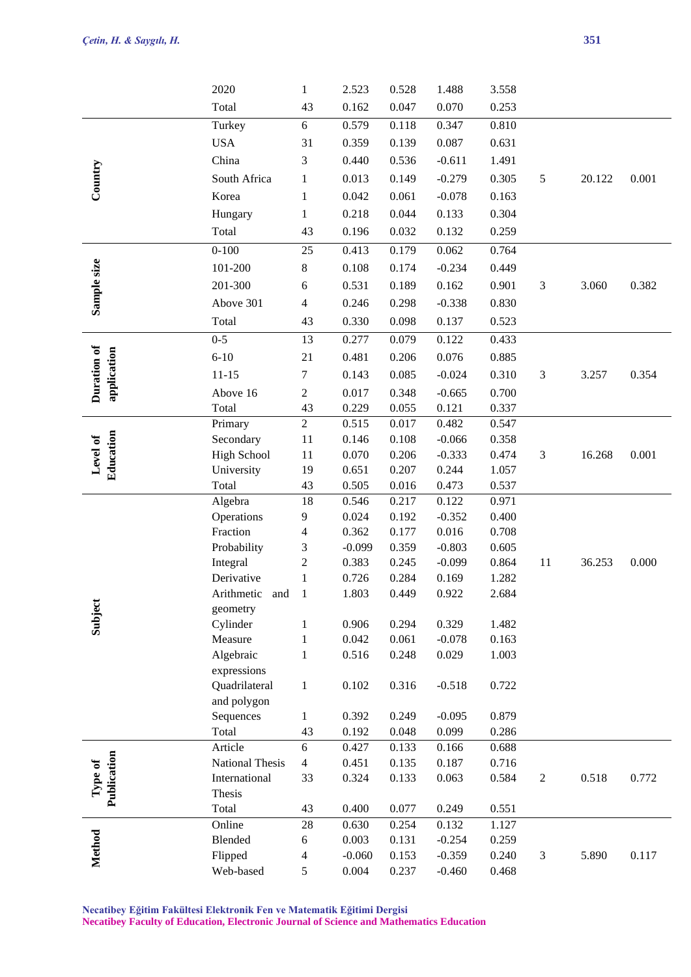|                        | 2020                   | $\mathbf{1}$      | 2.523          | 0.528          | 1.488             | 3.558          |                  |        |       |
|------------------------|------------------------|-------------------|----------------|----------------|-------------------|----------------|------------------|--------|-------|
|                        | Total                  | 43                | 0.162          | 0.047          | 0.070             | 0.253          |                  |        |       |
|                        | Turkey                 | 6                 | 0.579          | 0.118          | 0.347             | 0.810          |                  |        |       |
|                        | <b>USA</b>             | 31                | 0.359          | 0.139          | 0.087             | 0.631          |                  |        |       |
|                        | China                  | 3                 | 0.440          | 0.536          | $-0.611$          | 1.491          |                  |        |       |
|                        | South Africa           | $\mathbf{1}$      | 0.013          | 0.149          | $-0.279$          | 0.305          | 5                | 20.122 | 0.001 |
| Country                |                        |                   | 0.042          | 0.061          | $-0.078$          |                |                  |        |       |
|                        | Korea                  | $\mathbf{1}$      |                |                |                   | 0.163          |                  |        |       |
|                        | Hungary                | $\mathbf{1}$      | 0.218          | 0.044          | 0.133             | 0.304          |                  |        |       |
|                        | Total                  | 43                | 0.196          | 0.032          | 0.132             | 0.259          |                  |        |       |
|                        | $0 - 100$              | 25                | 0.413          | 0.179          | 0.062             | 0.764          |                  |        |       |
|                        | 101-200                | $8\,$             | 0.108          | 0.174          | $-0.234$          | 0.449          |                  |        |       |
| Sample size            | 201-300                | 6                 | 0.531          | 0.189          | 0.162             | 0.901          | 3                | 3.060  | 0.382 |
|                        | Above 301              | $\overline{4}$    | 0.246          | 0.298          | $-0.338$          | 0.830          |                  |        |       |
|                        | Total                  | 43                | 0.330          | 0.098          | 0.137             | 0.523          |                  |        |       |
|                        | $0 - 5$                | 13                | 0.277          | 0.079          | 0.122             | 0.433          |                  |        |       |
| Duration of            | $6 - 10$               | 21                | 0.481          | 0.206          | 0.076             | 0.885          |                  |        |       |
| application            | $11 - 15$              | $\tau$            | 0.143          | 0.085          | $-0.024$          | 0.310          | 3                | 3.257  | 0.354 |
|                        | Above 16               | $\boldsymbol{2}$  | 0.017          | 0.348          | $-0.665$          | 0.700          |                  |        |       |
|                        | Total                  | 43                | 0.229          | 0.055          | 0.121             | 0.337          |                  |        |       |
|                        | Primary                | $\overline{2}$    | 0.515          | 0.017          | 0.482             | 0.547          |                  |        |       |
|                        | Secondary              | 11                | 0.146          | 0.108          | $-0.066$          | 0.358          |                  |        |       |
| Education<br>Level of  | <b>High School</b>     | 11                | 0.070          | 0.206          | $-0.333$          | 0.474          | 3                | 16.268 | 0.001 |
|                        | University             | 19                | 0.651          | 0.207          | 0.244             | 1.057          |                  |        |       |
|                        | Total                  | 43                | 0.505          | 0.016          | 0.473             | 0.537          |                  |        |       |
|                        | Algebra                | 18                | 0.546          | 0.217          | 0.122             | 0.971          |                  |        |       |
|                        | Operations             | 9                 | 0.024          | 0.192          | $-0.352$          | 0.400          |                  |        |       |
|                        | Fraction               | $\overline{4}$    | 0.362          | 0.177          | 0.016             | 0.708          |                  |        |       |
|                        | Probability            | 3                 | $-0.099$       | 0.359          | $-0.803$          | 0.605          |                  |        |       |
|                        | Integral               | $\mathbf{2}$      | 0.383          | 0.245          | $-0.099$          | 0.864          | 11               | 36.253 | 0.000 |
|                        | Derivative             | $\mathbf{1}$      | 0.726          | 0.284          | 0.169             | 1.282          |                  |        |       |
|                        | Arithmetic<br>and      | $\mathbf{1}$      | 1.803          | 0.449          | 0.922             | 2.684          |                  |        |       |
| Subject                | geometry               |                   |                |                |                   |                |                  |        |       |
|                        | Cylinder<br>Measure    | 1<br>$\mathbf{1}$ | 0.906<br>0.042 | 0.294<br>0.061 | 0.329<br>$-0.078$ | 1.482<br>0.163 |                  |        |       |
|                        | Algebraic              | $\mathbf{1}$      | 0.516          | 0.248          | 0.029             | 1.003          |                  |        |       |
|                        | expressions            |                   |                |                |                   |                |                  |        |       |
|                        | Quadrilateral          | $\mathbf{1}$      | 0.102          | 0.316          | $-0.518$          | 0.722          |                  |        |       |
|                        | and polygon            |                   |                |                |                   |                |                  |        |       |
|                        | Sequences              | $\mathbf{1}$      | 0.392          | 0.249          | $-0.095$          | 0.879          |                  |        |       |
|                        | Total                  | 43                | 0.192          | 0.048          | 0.099             | 0.286          |                  |        |       |
|                        | Article                | 6                 | 0.427          | 0.133          | 0.166             | 0.688          |                  |        |       |
| Publication<br>Type of | <b>National Thesis</b> | $\overline{4}$    | 0.451          | 0.135          | 0.187             | 0.716          |                  |        |       |
|                        | International          | 33                | 0.324          | 0.133          | 0.063             | 0.584          | $\boldsymbol{2}$ | 0.518  | 0.772 |
|                        | Thesis                 |                   |                |                |                   |                |                  |        |       |
|                        | Total                  | 43                | 0.400          | 0.077          | 0.249             | 0.551          |                  |        |       |
|                        | Online                 | $28\,$            | 0.630          | 0.254          | 0.132             | 1.127          |                  |        |       |
|                        | Blended                | $\sqrt{6}$        | 0.003          | 0.131          | $-0.254$          | 0.259          |                  |        |       |
| Method                 | Flipped                | $\overline{4}$    | $-0.060$       | 0.153          | $-0.359$          | 0.240          | $\mathfrak 3$    | 5.890  | 0.117 |
|                        | Web-based              | 5                 | 0.004          | 0.237          | $-0.460$          | 0.468          |                  |        |       |

**Necatibey Eğitim Fakültesi Elektronik Fen ve Matematik Eğitimi Dergisi**

**Necatibey Faculty of Education, Electronic Journal of Science and Mathematics Education**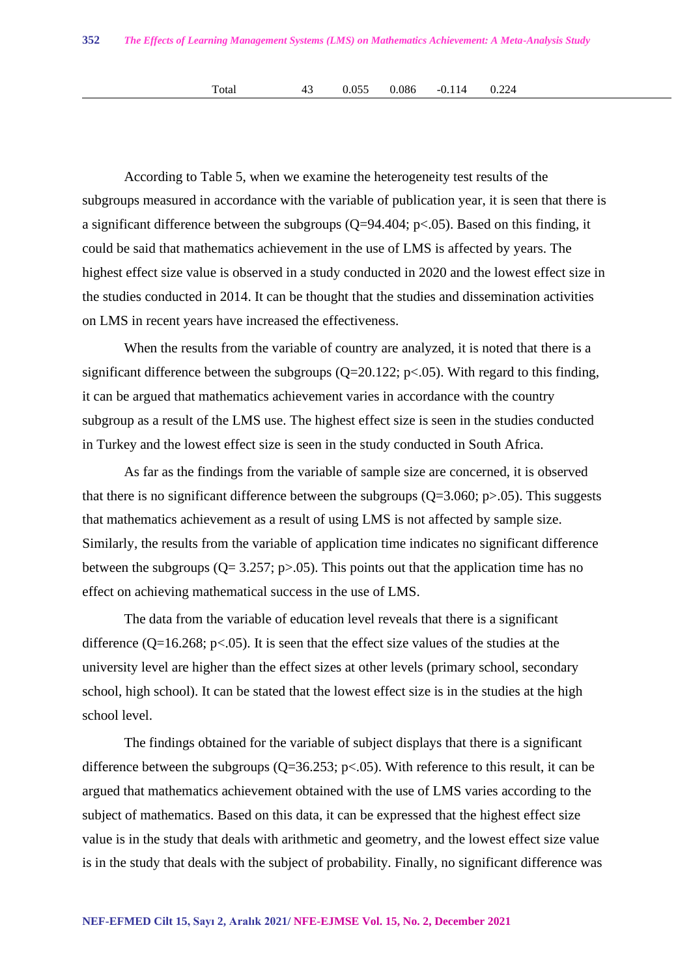According to Table 5, when we examine the heterogeneity test results of the subgroups measured in accordance with the variable of publication year, it is seen that there is a significant difference between the subgroups  $(Q=94.404; p<.05)$ . Based on this finding, it could be said that mathematics achievement in the use of LMS is affected by years. The highest effect size value is observed in a study conducted in 2020 and the lowest effect size in the studies conducted in 2014. It can be thought that the studies and dissemination activities on LMS in recent years have increased the effectiveness.

When the results from the variable of country are analyzed, it is noted that there is a significant difference between the subgroups ( $Q=20.122$ ;  $p<0.05$ ). With regard to this finding, it can be argued that mathematics achievement varies in accordance with the country subgroup as a result of the LMS use. The highest effect size is seen in the studies conducted in Turkey and the lowest effect size is seen in the study conducted in South Africa.

As far as the findings from the variable of sample size are concerned, it is observed that there is no significant difference between the subgroups  $(Q=3.060; p>0.05)$ . This suggests that mathematics achievement as a result of using LMS is not affected by sample size. Similarly, the results from the variable of application time indicates no significant difference between the subgroups ( $Q = 3.257$ ; p $> 0.05$ ). This points out that the application time has no effect on achieving mathematical success in the use of LMS.

The data from the variable of education level reveals that there is a significant difference ( $Q=16.268$ ;  $p<.05$ ). It is seen that the effect size values of the studies at the university level are higher than the effect sizes at other levels (primary school, secondary school, high school). It can be stated that the lowest effect size is in the studies at the high school level.

The findings obtained for the variable of subject displays that there is a significant difference between the subgroups ( $Q=36.253$ ;  $p<.05$ ). With reference to this result, it can be argued that mathematics achievement obtained with the use of LMS varies according to the subject of mathematics. Based on this data, it can be expressed that the highest effect size value is in the study that deals with arithmetic and geometry, and the lowest effect size value is in the study that deals with the subject of probability. Finally, no significant difference was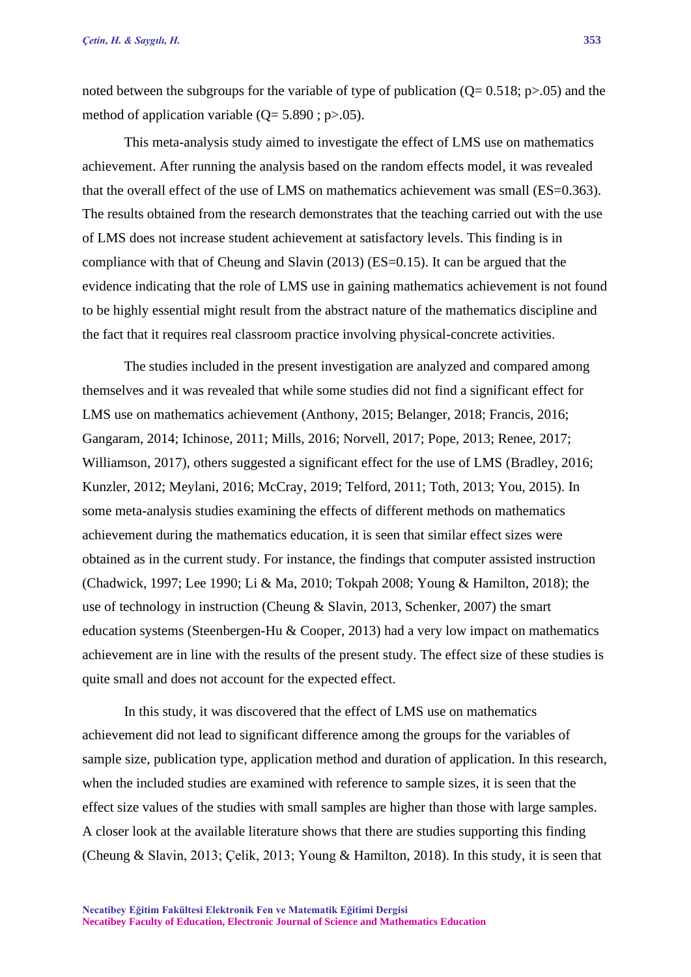noted between the subgroups for the variable of type of publication  $(Q= 0.518; p>0.05)$  and the method of application variable  $(Q= 5.890; p>0.05)$ .

This meta-analysis study aimed to investigate the effect of LMS use on mathematics achievement. After running the analysis based on the random effects model, it was revealed that the overall effect of the use of LMS on mathematics achievement was small (ES=0.363). The results obtained from the research demonstrates that the teaching carried out with the use of LMS does not increase student achievement at satisfactory levels. This finding is in compliance with that of Cheung and Slavin (2013) (ES=0.15). It can be argued that the evidence indicating that the role of LMS use in gaining mathematics achievement is not found to be highly essential might result from the abstract nature of the mathematics discipline and the fact that it requires real classroom practice involving physical-concrete activities.

The studies included in the present investigation are analyzed and compared among themselves and it was revealed that while some studies did not find a significant effect for LMS use on mathematics achievement (Anthony, 2015; Belanger, 2018; Francis, 2016; Gangaram, 2014; Ichinose, 2011; Mills, 2016; Norvell, 2017; Pope, 2013; Renee, 2017; Williamson, 2017), others suggested a significant effect for the use of LMS (Bradley, 2016; Kunzler, 2012; Meylani, 2016; McCray, 2019; Telford, 2011; Toth, 2013; You, 2015). In some meta-analysis studies examining the effects of different methods on mathematics achievement during the mathematics education, it is seen that similar effect sizes were obtained as in the current study. For instance, the findings that computer assisted instruction (Chadwick, 1997; Lee 1990; Li & Ma, 2010; Tokpah 2008; Young & Hamilton, 2018); the use of technology in instruction (Cheung & Slavin, 2013, Schenker, 2007) the smart education systems (Steenbergen-Hu & Cooper, 2013) had a very low impact on mathematics achievement are in line with the results of the present study. The effect size of these studies is quite small and does not account for the expected effect.

In this study, it was discovered that the effect of LMS use on mathematics achievement did not lead to significant difference among the groups for the variables of sample size, publication type, application method and duration of application. In this research, when the included studies are examined with reference to sample sizes, it is seen that the effect size values of the studies with small samples are higher than those with large samples. A closer look at the available literature shows that there are studies supporting this finding (Cheung & Slavin, 2013; Çelik, 2013; Young & Hamilton, 2018). In this study, it is seen that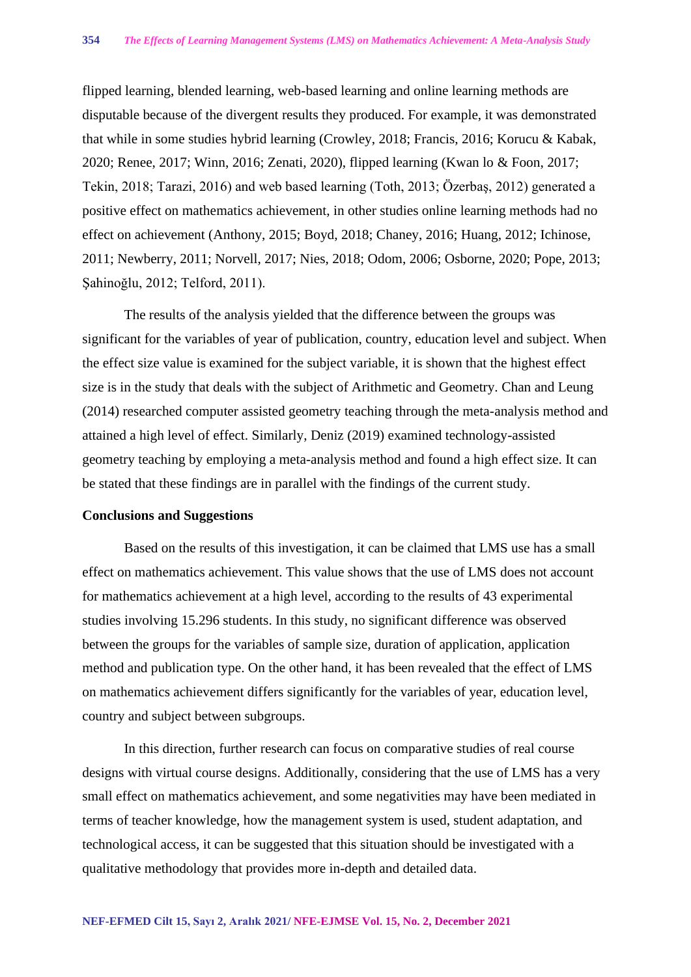flipped learning, blended learning, web-based learning and online learning methods are disputable because of the divergent results they produced. For example, it was demonstrated that while in some studies hybrid learning (Crowley, 2018; Francis, 2016; Korucu & Kabak, 2020; Renee, 2017; Winn, 2016; Zenati, 2020), flipped learning (Kwan lo & Foon, 2017; Tekin, 2018; Tarazi, 2016) and web based learning (Toth, 2013; Özerbaş, 2012) generated a positive effect on mathematics achievement, in other studies online learning methods had no effect on achievement (Anthony, 2015; Boyd, 2018; Chaney, 2016; Huang, 2012; Ichinose, 2011; Newberry, 2011; Norvell, 2017; Nies, 2018; Odom, 2006; Osborne, 2020; Pope, 2013; Şahinoğlu, 2012; Telford, 2011).

The results of the analysis yielded that the difference between the groups was significant for the variables of year of publication, country, education level and subject. When the effect size value is examined for the subject variable, it is shown that the highest effect size is in the study that deals with the subject of Arithmetic and Geometry. Chan and Leung (2014) researched computer assisted geometry teaching through the meta-analysis method and attained a high level of effect. Similarly, Deniz (2019) examined technology-assisted geometry teaching by employing a meta-analysis method and found a high effect size. It can be stated that these findings are in parallel with the findings of the current study.

#### **Conclusions and Suggestions**

Based on the results of this investigation, it can be claimed that LMS use has a small effect on mathematics achievement. This value shows that the use of LMS does not account for mathematics achievement at a high level, according to the results of 43 experimental studies involving 15.296 students. In this study, no significant difference was observed between the groups for the variables of sample size, duration of application, application method and publication type. On the other hand, it has been revealed that the effect of LMS on mathematics achievement differs significantly for the variables of year, education level, country and subject between subgroups.

In this direction, further research can focus on comparative studies of real course designs with virtual course designs. Additionally, considering that the use of LMS has a very small effect on mathematics achievement, and some negativities may have been mediated in terms of teacher knowledge, how the management system is used, student adaptation, and technological access, it can be suggested that this situation should be investigated with a qualitative methodology that provides more in-depth and detailed data.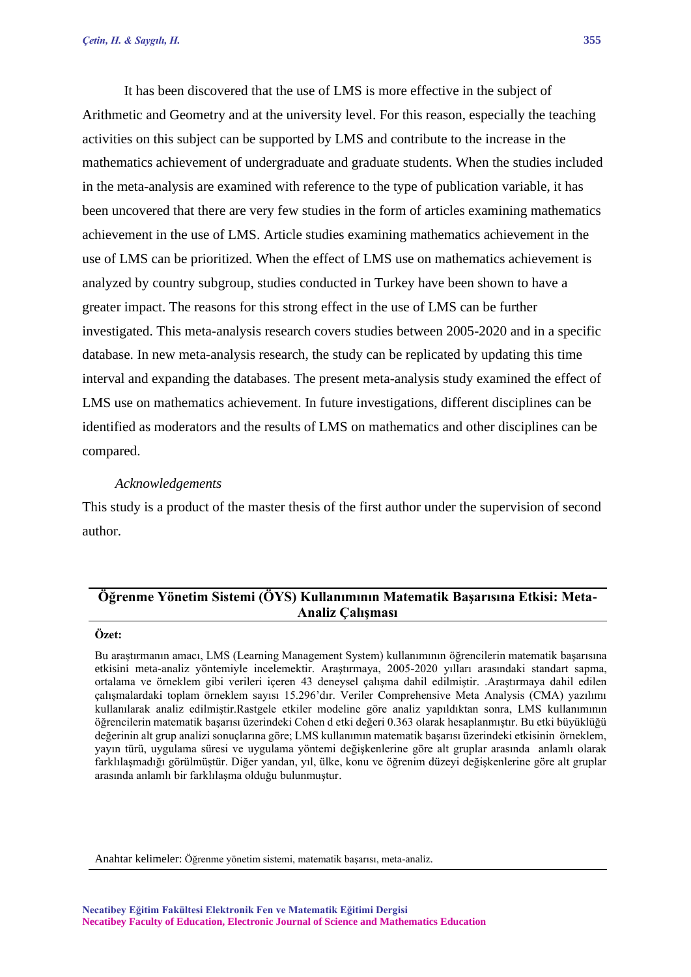It has been discovered that the use of LMS is more effective in the subject of Arithmetic and Geometry and at the university level. For this reason, especially the teaching activities on this subject can be supported by LMS and contribute to the increase in the mathematics achievement of undergraduate and graduate students. When the studies included in the meta-analysis are examined with reference to the type of publication variable, it has been uncovered that there are very few studies in the form of articles examining mathematics achievement in the use of LMS. Article studies examining mathematics achievement in the use of LMS can be prioritized. When the effect of LMS use on mathematics achievement is analyzed by country subgroup, studies conducted in Turkey have been shown to have a greater impact. The reasons for this strong effect in the use of LMS can be further investigated. This meta-analysis research covers studies between 2005-2020 and in a specific database. In new meta-analysis research, the study can be replicated by updating this time interval and expanding the databases. The present meta-analysis study examined the effect of LMS use on mathematics achievement. In future investigations, different disciplines can be identified as moderators and the results of LMS on mathematics and other disciplines can be compared.

#### *Acknowledgements*

This study is a product of the master thesis of the first author under the supervision of second author.

## **Öğrenme Yönetim Sistemi (ÖYS) Kullanımının Matematik Başarısına Etkisi: Meta-Analiz Çalışması**

## **Özet:**

Bu araştırmanın amacı, LMS (Learning Management System) kullanımının öğrencilerin matematik başarısına etkisini meta-analiz yöntemiyle incelemektir. Araştırmaya, 2005-2020 yılları arasındaki standart sapma, ortalama ve örneklem gibi verileri içeren 43 deneysel çalışma dahil edilmiştir. .Araştırmaya dahil edilen çalışmalardaki toplam örneklem sayısı 15.296'dır. Veriler Comprehensive Meta Analysis (CMA) yazılımı kullanılarak analiz edilmiştir.Rastgele etkiler modeline göre analiz yapıldıktan sonra, LMS kullanımının öğrencilerin matematik başarısı üzerindeki Cohen d etki değeri 0.363 olarak hesaplanmıştır. Bu etki büyüklüğü değerinin alt grup analizi sonuçlarına göre; LMS kullanımın matematik başarısı üzerindeki etkisinin örneklem, yayın türü, uygulama süresi ve uygulama yöntemi değişkenlerine göre alt gruplar arasında anlamlı olarak farklılaşmadığı görülmüştür. Diğer yandan, yıl, ülke, konu ve öğrenim düzeyi değişkenlerine göre alt gruplar arasında anlamlı bir farklılaşma olduğu bulunmuştur.

Anahtar kelimeler: Öğrenme yönetim sistemi, matematik başarısı, meta-analiz.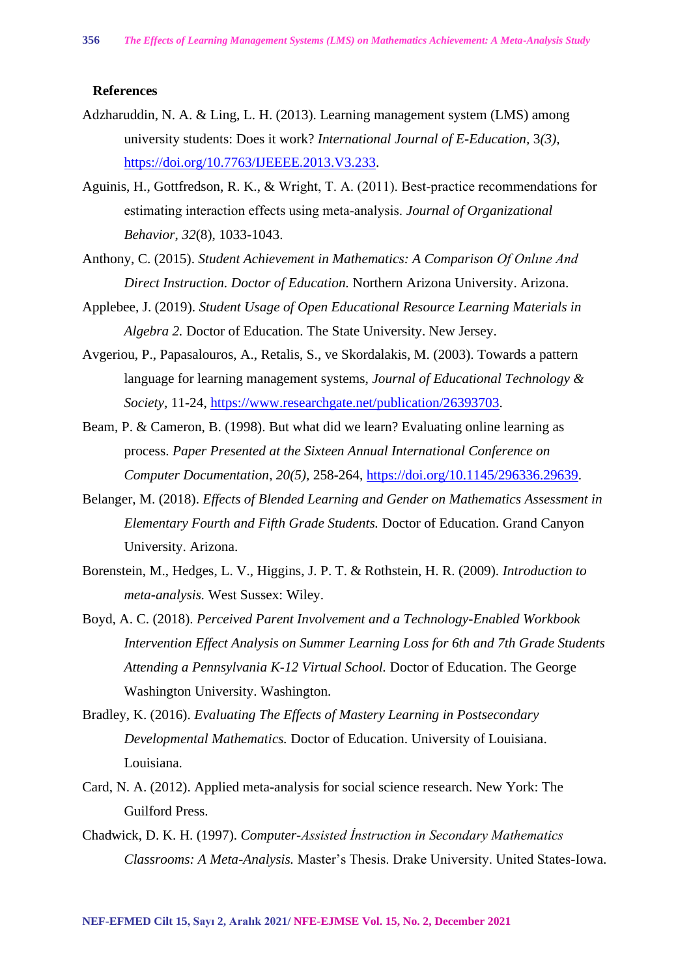#### **References**

- Adzharuddin, N. A. & Ling, L. H. (2013). Learning management system (LMS) among university students: Does it work? *International Journal of E-Education,* 3*(3)*, [https://doi.org/10.7763/IJEEEE.2013.V3.233.](https://doi.org/10.7763/IJEEEE.2013.V3.233)
- Aguinis, H., Gottfredson, R. K., & Wright, T. A. (2011). Best-practice recommendations for estimating interaction effects using meta‐analysis. *Journal of Organizational Behavior*, *32*(8), 1033-1043.
- Anthony, C. (2015). *Student Achievement in Mathematics: A Comparison Of Onlıne And Direct Instruction. Doctor of Education.* Northern Arizona University. Arizona.
- Applebee, J. (2019). *Student Usage of Open Educational Resource Learning Materials in Algebra 2.* Doctor of Education. The State University. New Jersey.
- Avgeriou, P., Papasalouros, A., Retalis, S., ve Skordalakis, M. (2003). Towards a pattern language for learning management systems, *Journal of Educational Technology & Society*, 11-24, [https://www.researchgate.net/publication/26393703.](https://www.researchgate.net/publication/26393703)
- Beam, P. & Cameron, B. (1998). But what did we learn? Evaluating online learning as process. *Paper Presented at the Sixteen Annual International Conference on Computer Documentation*, *20(5),* 258-264, [https://doi.org/10.1145/296336.29639.](https://doi.org/10.1145/296336.29639)
- Belanger, M. (2018). *Effects of Blended Learning and Gender on Mathematics Assessment in Elementary Fourth and Fifth Grade Students.* Doctor of Education. Grand Canyon University. Arizona.
- Borenstein, M., Hedges, L. V., Higgins, J. P. T. & Rothstein, H. R. (2009). *Introduction to meta-analysis.* West Sussex: Wiley.
- Boyd, A. C. (2018). *Perceived Parent Involvement and a Technology-Enabled Workbook Intervention Effect Analysis on Summer Learning Loss for 6th and 7th Grade Students Attending a Pennsylvania K-12 Virtual School.* Doctor of Education. The George Washington University. Washington.
- Bradley, K. (2016). *Evaluating The Effects of Mastery Learning in Postsecondary Developmental Mathematics.* Doctor of Education. University of Louisiana. Louisiana.
- Card, N. A. (2012). Applied meta-analysis for social science research. New York: The Guilford Press.
- Chadwick, D. K. H. (1997). *Computer-Assisted İnstruction in Secondary Mathematics Classrooms: A Meta-Analysis.* Master's Thesis. Drake University. United States-Iowa.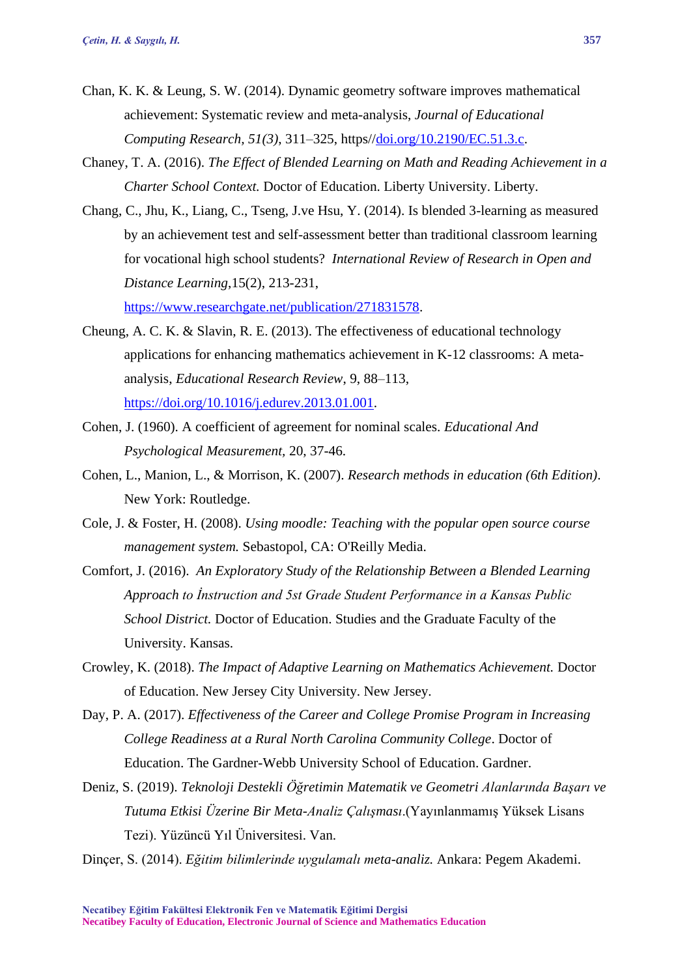- Chan, K. K. & Leung, S. W. (2014). Dynamic geometry software improves mathematical achievement: Systematic review and meta-analysis, *Journal of Educational Computing Research, 51(3)*, 311–325, https/[/doi.org/10.2190/EC.51.3.c.](http://doi.org/10.2190/EC.51.3.c)
- Chaney, T. A. (2016). *The Effect of Blended Learning on Math and Reading Achievement in a Charter School Context.* Doctor of Education. Liberty University. Liberty.
- Chang, C., Jhu, K., Liang, C., Tseng, J.ve Hsu, Y. (2014). Is blended 3-learning as measured by an achievement test and self-assessment better than traditional classroom learning for vocational high school students? *International Review of Research in Open and Distance Learning*,15(2), 213-231, [https://www.researchgate.net/publication/271831578.](https://www.researchgate.net/publication/271831578)
- Cheung, A. C. K. & Slavin, R. E. (2013). The effectiveness of educational technology applications for enhancing mathematics achievement in K-12 classrooms: A metaanalysis, *Educational Research Review*, 9, 88–113, [https://doi.org/10.1016/j.edurev.2013.01.001.](https://doi.org/10.1016/j.edurev.2013.01.001)
- Cohen, J. (1960). A coefficient of agreement for nominal scales. *Educational And Psychological Measurement,* 20, 37-46.
- Cohen, L., Manion, L., & Morrison, K. (2007). *Research methods in education (6th Edition)*. New York: Routledge.
- Cole, J. & Foster, H. (2008). *Using moodle: Teaching with the popular open source course management system.* Sebastopol, CA: O'Reilly Media.
- Comfort, J. (2016). *An Exploratory Study of the Relationship Between a Blended Learning Approach to İnstruction and 5st Grade Student Performance in a Kansas Public School District.* Doctor of Education. Studies and the Graduate Faculty of the University. Kansas.
- Crowley, K. (2018). *The Impact of Adaptive Learning on Mathematics Achievement.* Doctor of Education. New Jersey City University. New Jersey.
- Day, P. A. (2017). *Effectiveness of the Career and College Promise Program in Increasing College Readiness at a Rural North Carolina Community College*. Doctor of Education. The Gardner-Webb University School of Education. Gardner.
- Deniz, S. (2019). *Teknoloji Destekli Öğretimin Matematik ve Geometri Alanlarında Başarı ve Tutuma Etkisi Üzerine Bir Meta-Analiz Çalışması*.(Yayınlanmamış Yüksek Lisans Tezi). Yüzüncü Yıl Üniversitesi. Van.

Dinçer, S. (2014). *Eğitim bilimlerinde uygulamalı meta-analiz.* Ankara: Pegem Akademi.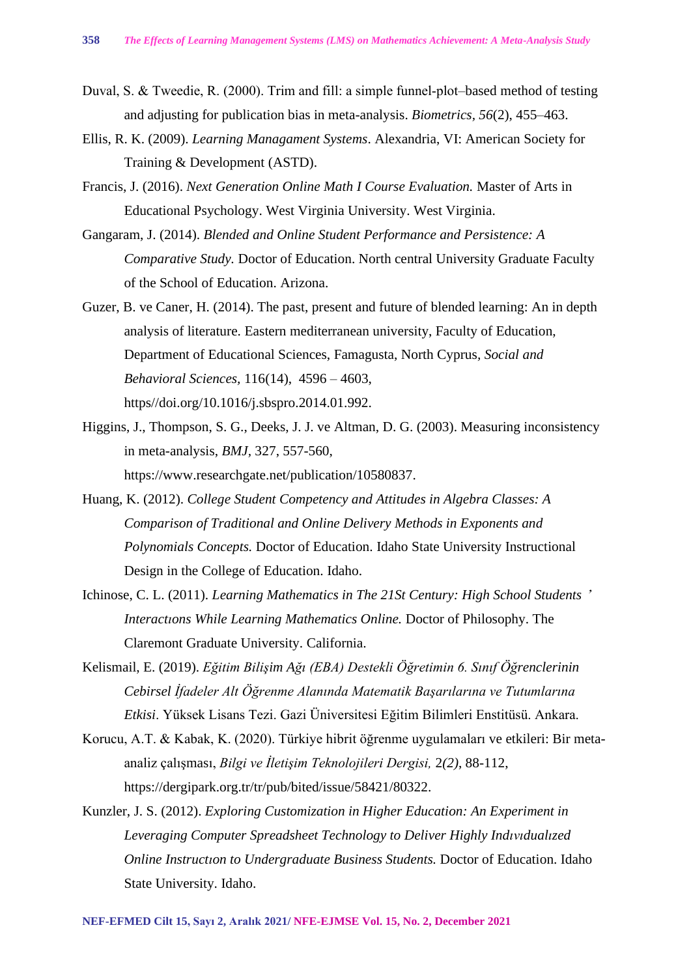- Duval, S. & Tweedie, R. (2000). Trim and fill: a simple funnel-plot-based method of testing and adjusting for publication bias in meta-analysis. *Biometrics, 56*(2), 455–463.
- Ellis, R. K. (2009). *Learning Managament Systems*. Alexandria, VI: American Society for Training & Development (ASTD).
- Francis, J. (2016). *Next Generation Online Math I Course Evaluation.* Master of Arts in Educational Psychology. West Virginia University. West Virginia.
- Gangaram, J. (2014). *Blended and Online Student Performance and Persistence: A Comparative Study.* Doctor of Education. North central University Graduate Faculty of the School of Education. Arizona.
- Guzer, B. ve Caner, H. (2014). The past, present and future of blended learning: An in depth analysis of literature. Eastern mediterranean university, Faculty of Education, Department of Educational Sciences, Famagusta, North Cyprus*, Social and Behavioral Sciences,* 116(14), 4596 – 4603, https//doi.org/10.1016/j.sbspro.2014.01.992.
- Higgins, J., Thompson, S. G., Deeks, J. J. ve Altman, D. G. (2003). Measuring inconsistency in meta-analysis, *BMJ,* 327, 557-560, https://www.researchgate.net/publication/10580837.
- Huang, K. (2012). *College Student Competency and Attitudes in Algebra Classes: A Comparison of Traditional and Online Delivery Methods in Exponents and Polynomials Concepts.* Doctor of Education. Idaho State University Instructional Design in the College of Education. Idaho.
- Ichinose, C. L. (2011). *Learning Mathematics in The 21St Century: High School Students* ' *Interactıons While Learning Mathematics Online.* Doctor of Philosophy. The Claremont Graduate University. California.
- Kelismail, E. (2019). *Eğitim Bilişim Ağı (EBA) Destekli Öğretimin 6. Sınıf Öğrenclerinin Cebirsel İfadeler Alt Öğrenme Alanında Matematik Başarılarına ve Tutumlarına Etkisi*. Yüksek Lisans Tezi. Gazi Üniversitesi Eğitim Bilimleri Enstitüsü. Ankara.
- Korucu, A.T. & Kabak, K. (2020). Türkiye hibrit öğrenme uygulamaları ve etkileri: Bir metaanaliz çalışması, *Bilgi ve İletişim Teknolojileri Dergisi,* 2*(2)*, 88-112, https://dergipark.org.tr/tr/pub/bited/issue/58421/80322.
- Kunzler, J. S. (2012). *Exploring Customization in Higher Education: An Experiment in Leveraging Computer Spreadsheet Technology to Deliver Highly Indıvıdualızed Online Instructıon to Undergraduate Business Students.* Doctor of Education. Idaho State University. Idaho.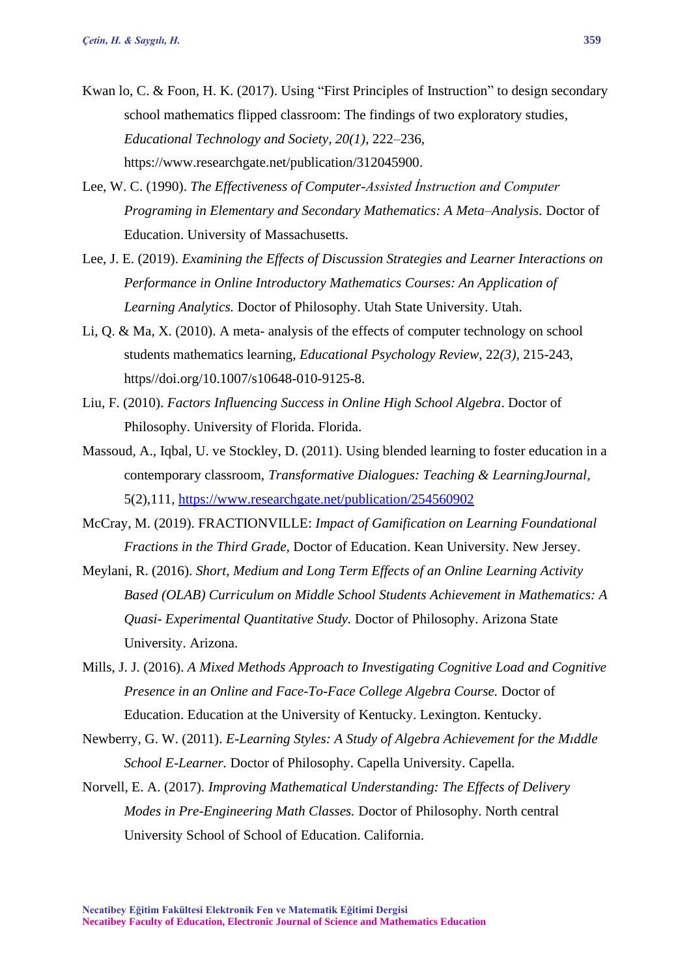- Kwan lo, C. & Foon, H. K. (2017). Using "First Principles of Instruction" to design secondary school mathematics flipped classroom: The findings of two exploratory studies, *Educational Technology and Society, 20(1)*, 222–236, https://www.researchgate.net/publication/312045900.
- Lee, W. C. (1990). *The Effectiveness of Computer-Assisted İnstruction and Computer Programing in Elementary and Secondary Mathematics: A Meta–Analysis.* Doctor of Education. University of Massachusetts.
- Lee, J. E. (2019). *Examining the Effects of Discussion Strategies and Learner Interactions on Performance in Online Introductory Mathematics Courses: An Application of Learning Analytics.* Doctor of Philosophy. Utah State University. Utah.
- Li, Q. & Ma, X. (2010). A meta- analysis of the effects of computer technology on school students mathematics learning, *Educational Psychology Review*, 22*(3),* 215-243, https//doi.org/10.1007/s10648-010-9125-8.
- Liu, F. (2010). *Factors Influencing Success in Online High School Algebra*. Doctor of Philosophy. University of Florida. Florida.
- Massoud, A., Iqbal, U. ve Stockley, D. (2011). Using blended learning to foster education in a contemporary classroom, *Transformative Dialogues: Teaching & LearningJournal*, 5(2),111,<https://www.researchgate.net/publication/254560902>
- McCray, M. (2019). FRACTIONVILLE: *Impact of Gamification on Learning Foundational Fractions in the Third Grade,* Doctor of Education. Kean University. New Jersey.
- Meylani, R. (2016). *Short, Medium and Long Term Effects of an Online Learning Activity Based (OLAB) Curriculum on Middle School Students Achievement in Mathematics: A Quasi- Experimental Quantitative Study.* Doctor of Philosophy. Arizona State University. Arizona.
- Mills, J. J. (2016). *A Mixed Methods Approach to Investigating Cognitive Load and Cognitive Presence in an Online and Face-To-Face College Algebra Course.* Doctor of Education. Education at the University of Kentucky. Lexington. Kentucky.
- Newberry, G. W. (2011). *E-Learning Styles: A Study of Algebra Achievement for the Mıddle School E-Learner.* Doctor of Philosophy. Capella University. Capella.
- Norvell, E. A. (2017). *Improving Mathematical Understanding: The Effects of Delivery Modes in Pre-Engineering Math Classes.* Doctor of Philosophy. North central University School of School of Education. California.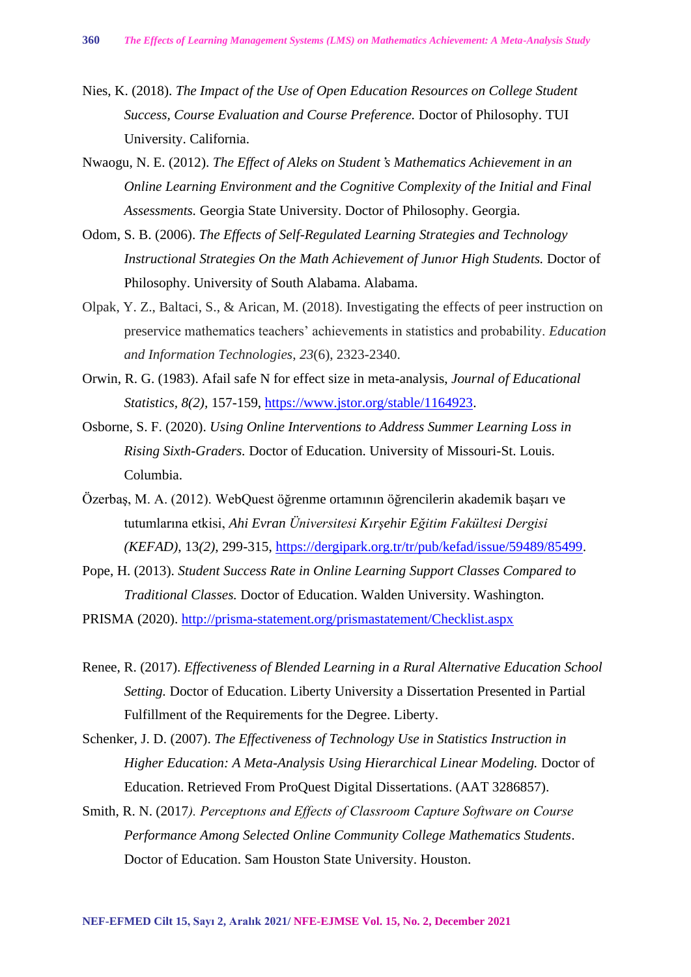- Nies, K. (2018). *The Impact of the Use of Open Education Resources on College Student Success, Course Evaluation and Course Preference.* Doctor of Philosophy. TUI University. California.
- Nwaogu, N. E. (2012). *The Effect of Aleks on Student*'*s Mathematics Achievement in an Online Learning Environment and the Cognitive Complexity of the Initial and Final Assessments.* Georgia State University. Doctor of Philosophy. Georgia.
- Odom, S. B. (2006). *The Effects of Self-Regulated Learning Strategies and Technology Instructional Strategies On the Math Achievement of Junıor High Students.* Doctor of Philosophy. University of South Alabama. Alabama.
- Olpak, Y. Z., Baltaci, S., & Arican, M. (2018). Investigating the effects of peer instruction on preservice mathematics teachers' achievements in statistics and probability. *Education and Information Technologies*, *23*(6), 2323-2340.
- Orwin, R. G. (1983). Afail safe N for effect size in meta-analysis, *Journal of Educational Statistics, 8(2),* 157-159, [https://www.jstor.org/stable/1164923.](https://www.jstor.org/stable/1164923)
- Osborne, S. F. (2020). *Using Online Interventions to Address Summer Learning Loss in Rising Sixth-Graders.* Doctor of Education. University of Missouri-St. Louis. Columbia.
- Özerbaş, M. A. (2012). WebQuest öğrenme ortamının öğrencilerin akademik başarı ve tutumlarına etkisi, *Ahi Evran Üniversitesi Kırşehir Eğitim Fakültesi Dergisi (KEFAD)*, 13*(2)*, 299-315, [https://dergipark.org.tr/tr/pub/kefad/issue/59489/85499.](https://dergipark.org.tr/tr/pub/kefad/issue/59489/85499)
- Pope, H. (2013). *Student Success Rate in Online Learning Support Classes Compared to Traditional Classes.* Doctor of Education. Walden University. Washington.
- PRISMA (2020).<http://prisma-statement.org/prismastatement/Checklist.aspx>
- Renee, R. (2017). *Effectiveness of Blended Learning in a Rural Alternative Education School Setting.* Doctor of Education. Liberty University a Dissertation Presented in Partial Fulfillment of the Requirements for the Degree. Liberty.
- Schenker, J. D. (2007). *The Effectiveness of Technology Use in Statistics Instruction in Higher Education: A Meta-Analysis Using Hierarchical Linear Modeling.* Doctor of Education. Retrieved From ProQuest Digital Dissertations. (AAT 3286857).
- Smith, R. N. (2017*). Perceptıons and Effects of Classroom Capture Software on Course Performance Among Selected Online Community College Mathematics Students*. Doctor of Education. Sam Houston State University. Houston.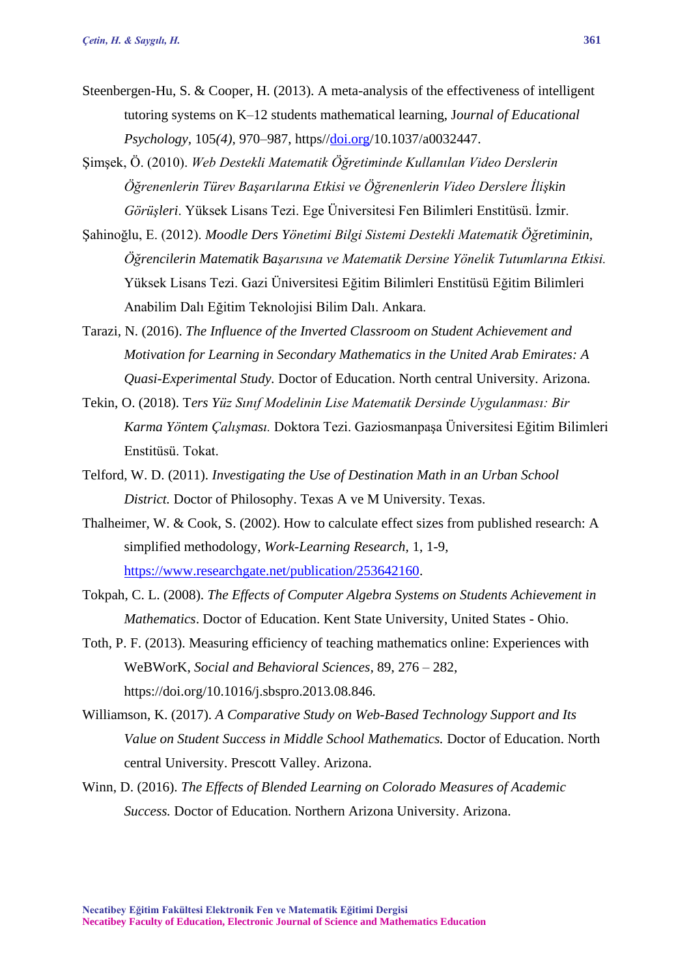- Steenbergen-Hu, S. & Cooper, H. (2013). A meta-analysis of the effectiveness of intelligent tutoring systems on K–12 students mathematical learning, J*ournal of Educational Psychology,* 105*(4),* 970–987, https/[/doi.org/](http://doi.org/)10.1037/a0032447.
- Şimşek, Ö. (2010). *Web Destekli Matematik Öğretiminde Kullanılan Video Derslerin Öğrenenlerin Türev Başarılarına Etkisi ve Öğrenenlerin Video Derslere İlişkin Görüşleri*. Yüksek Lisans Tezi. Ege Üniversitesi Fen Bilimleri Enstitüsü. İzmir.
- Şahinoğlu, E. (2012). *Moodle Ders Yönetimi Bilgi Sistemi Destekli Matematik Öğretiminin, Öğrencilerin Matematik Başarısına ve Matematik Dersine Yönelik Tutumlarına Etkisi.* Yüksek Lisans Tezi. Gazi Üniversitesi Eğitim Bilimleri Enstitüsü Eğitim Bilimleri Anabilim Dalı Eğitim Teknolojisi Bilim Dalı. Ankara.
- Tarazi, N. (2016). *The Influence of the Inverted Classroom on Student Achievement and Motivation for Learning in Secondary Mathematics in the United Arab Emirates: A Quasi-Experimental Study.* Doctor of Education. North central University. Arizona.
- Tekin, O. (2018). T*ers Yüz Sınıf Modelinin Lise Matematik Dersinde Uygulanması: Bir Karma Yöntem Çalışması.* Doktora Tezi. Gaziosmanpaşa Üniversitesi Eğitim Bilimleri Enstitüsü. Tokat.
- Telford, W. D. (2011). *Investigating the Use of Destination Math in an Urban School District.* Doctor of Philosophy. Texas A ve M University. Texas.
- Thalheimer, W. & Cook, S. (2002). How to calculate effect sizes from published research: A simplified methodology, *Work-Learning Research,* 1, 1-9, [https://www.researchgate.net/publication/253642160.](https://www.researchgate.net/publication/253642160)
- Tokpah, C. L. (2008). *The Effects of Computer Algebra Systems on Students Achievement in Mathematics*. Doctor of Education. Kent State University, United States - Ohio.
- Toth, P. F. (2013). Measuring efficiency of teaching mathematics online: Experiences with WeBWorK, *Social and Behavioral Sciences,* 89, 276 – 282, https://doi.org/10.1016/j.sbspro.2013.08.846.
- Williamson, K. (2017). *A Comparative Study on Web-Based Technology Support and Its Value on Student Success in Middle School Mathematics.* Doctor of Education. North central University. Prescott Valley. Arizona.
- Winn, D. (2016). *The Effects of Blended Learning on Colorado Measures of Academic Success.* Doctor of Education. Northern Arizona University. Arizona.